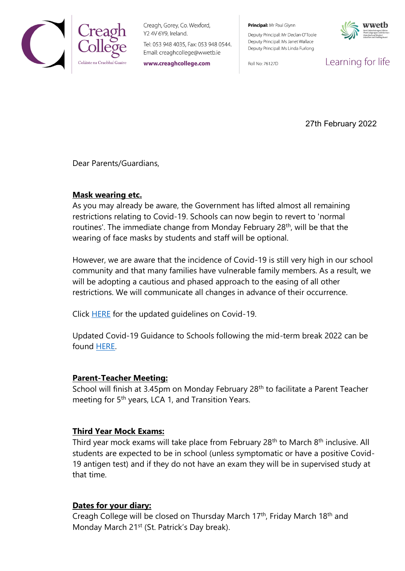

Creagh, Gorey, Co. Wexford, Y2 4V 6Y9, Ireland.

Tel: 053 948 4035, Fax: 053 948 0544. Email: creaghcollege@wwetb.ie

www.creaghcollege.com

Principal: Mr Paul Glynn

Deputy Principal: Mr Declan O'Toole Deputy Principal: Ms Janet Wallace Deputy Principal: Ms Linda Furlong

Roll No: 76127D



Learning for life

27th February 2022

Dear Parents/Guardians,

## **Mask wearing etc.**

As you may already be aware, the Government has lifted almost all remaining restrictions relating to Covid-19. Schools can now begin to revert to 'normal routines'. The immediate change from Monday February 28<sup>th</sup>, will be that the wearing of face masks by students and staff will be optional.

However, we are aware that the incidence of Covid-19 is still very high in our school community and that many families have vulnerable family members. As a result, we will be adopting a cautious and phased approach to the easing of all other restrictions. We will communicate all changes in advance of their occurrence.

Click **HERE** for the updated guidelines on Covid-19.

Updated Covid-19 Guidance to Schools following the mid-term break 2022 can be found [HERE.](https://www.gov.ie/en/publication/e1754-information-note-sd-00032022-updated-covid-19-guidance-to-schools-following-the-mid-term-break-2022/)

## **Parent-Teacher Meeting:**

School will finish at 3.45pm on Monday February 28<sup>th</sup> to facilitate a Parent Teacher meeting for 5<sup>th</sup> years, LCA 1, and Transition Years.

## **Third Year Mock Exams:**

Third year mock exams will take place from February 28<sup>th</sup> to March 8<sup>th</sup> inclusive. All students are expected to be in school (unless symptomatic or have a positive Covid-19 antigen test) and if they do not have an exam they will be in supervised study at that time.

## **Dates for your diary:**

Creagh College will be closed on Thursday March 17th, Friday March 18th and Monday March 21<sup>st</sup> (St. Patrick's Day break).